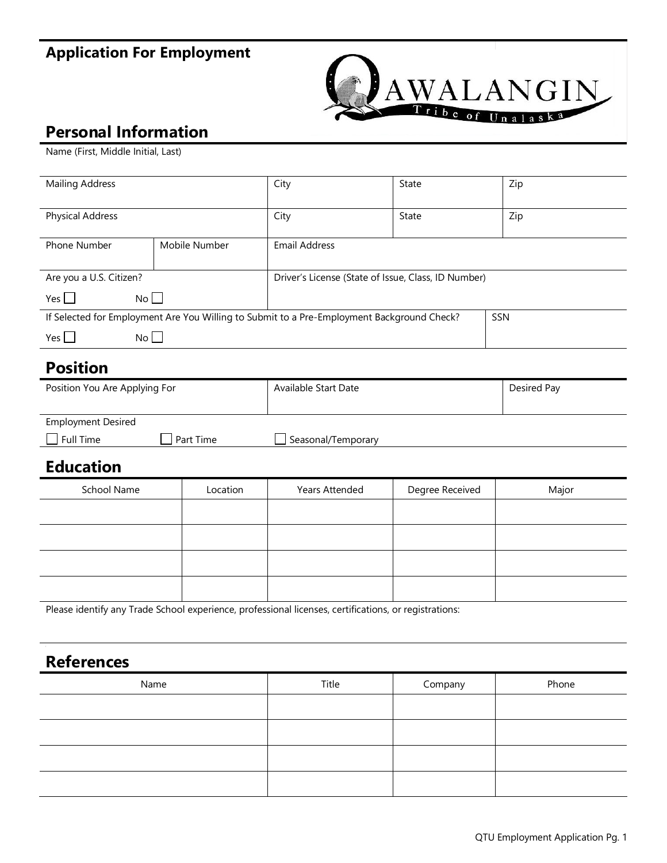# **Application For Employment**



### **Personal Information**

Name (First, Middle Initial, Last)

| <b>Mailing Address</b>                                                                     |               | City                                                | <b>State</b> | Zip |
|--------------------------------------------------------------------------------------------|---------------|-----------------------------------------------------|--------------|-----|
| <b>Physical Address</b>                                                                    |               | City                                                | State        | Zip |
| <b>Phone Number</b>                                                                        | Mobile Number | <b>Email Address</b>                                |              |     |
| Are you a U.S. Citizen?                                                                    |               | Driver's License (State of Issue, Class, ID Number) |              |     |
| No<br>Yes l                                                                                |               |                                                     |              |     |
| If Selected for Employment Are You Willing to Submit to a Pre-Employment Background Check? |               |                                                     | SSN          |     |
| No<br>Yes l                                                                                |               |                                                     |              |     |

#### **Position**

| Position You Are Applying For |           | Available Start Date | Desired Pay |
|-------------------------------|-----------|----------------------|-------------|
|                               |           |                      |             |
| <b>Employment Desired</b>     |           |                      |             |
| Full Time                     | Part Time | Seasonal/Temporary   |             |

#### **Education**

| School Name | Location | Years Attended | Degree Received | Major |
|-------------|----------|----------------|-----------------|-------|
|             |          |                |                 |       |
|             |          |                |                 |       |
|             |          |                |                 |       |
|             |          |                |                 |       |

Please identify any Trade School experience, professional licenses, certifications, or registrations:

#### **References**

| Name | Title | Company | Phone |
|------|-------|---------|-------|
|      |       |         |       |
|      |       |         |       |
|      |       |         |       |
|      |       |         |       |